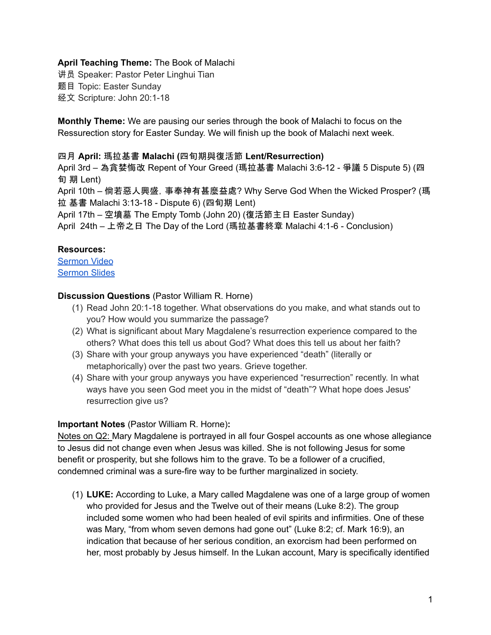## **April Teaching Theme:** The Book of Malachi

讲员 Speaker: Pastor Peter Linghui Tian 题目 Topic: Easter Sunday

经文 Scripture: John 20:1-18

**Monthly Theme:** We are pausing our series through the book of Malachi to focus on the Ressurection story for Easter Sunday. We will finish up the book of Malachi next week.

## 四月 **April:** 瑪拉基書 **Malachi (**四旬期與復活節 **Lent/Resurrection)**

April 3rd – 為貪婪悔改 Repent of Your Greed (瑪拉基書 Malachi 3:6-12 - 爭議 5 Dispute 5) (四 旬 期 Lent)

April 10th – 倘若惡人興盛,事奉神有甚麼益處? Why Serve God When the Wicked Prosper? (瑪 拉 基書 Malachi 3:13-18 - Dispute 6) (四旬期 Lent)

April 17th – 空墳墓 The Empty Tomb (John 20) (復活節主日 Easter Sunday)

April 24th – 上帝之日 The Day of the Lord (瑪拉基書終章 Malachi 4:1-6 - Conclusion)

## **Resources:**

[Sermon](https://www.youtube.com/watch?v=gG4phrVU6dI) Video

[Sermon](https://docs.google.com/presentation/d/16k9O-qhTKH3BBOABO30Jw_VIlmT5oTvE/edit?usp=sharing&ouid=111022305003760555164&rtpof=true&sd=true) Slides

## **Discussion Questions** (Pastor William R. Horne)

- (1) Read John 20:1-18 together. What observations do you make, and what stands out to you? How would you summarize the passage?
- (2) What is significant about Mary Magdalene's resurrection experience compared to the others? What does this tell us about God? What does this tell us about her faith?
- (3) Share with your group anyways you have experienced "death" (literally or metaphorically) over the past two years. Grieve together.
- (4) Share with your group anyways you have experienced "resurrection" recently. In what ways have you seen God meet you in the midst of "death"? What hope does Jesus' resurrection give us?

# **Important Notes** (Pastor William R. Horne)**:**

Notes on Q2: Mary Magdalene is portrayed in all four Gospel accounts as one whose allegiance to Jesus did not change even when Jesus was killed. She is not following Jesus for some benefit or prosperity, but she follows him to the grave. To be a follower of a crucified, condemned criminal was a sure-fire way to be further marginalized in society.

(1) **LUKE:** According to Luke, a Mary called Magdalene was one of a large group of women who provided for Jesus and the Twelve out of their means (Luke 8:2). The group included some women who had been healed of evil spirits and infirmities. One of these was Mary, "from whom seven demons had gone out" (Luke 8:2; cf. Mark 16:9), an indication that because of her serious condition, an exorcism had been performed on her, most probably by Jesus himself. In the Lukan account, Mary is specifically identified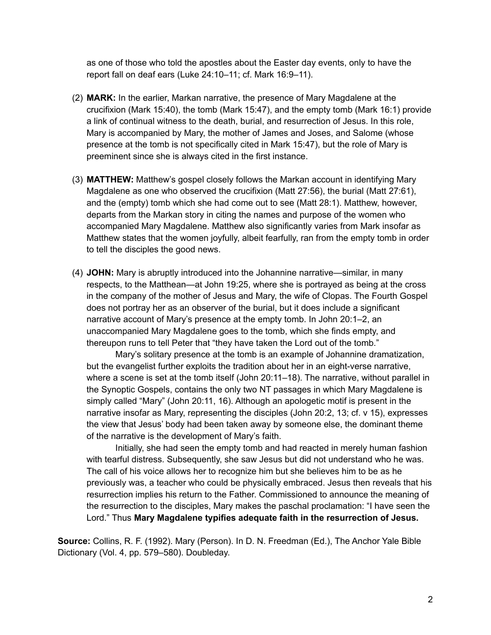as one of those who told the apostles about the Easter day events, only to have the report fall on deaf ears (Luke 24:10–11; cf. Mark 16:9–11).

- (2) **MARK:** In the earlier, Markan narrative, the presence of Mary Magdalene at the crucifixion (Mark 15:40), the tomb (Mark 15:47), and the empty tomb (Mark 16:1) provide a link of continual witness to the death, burial, and resurrection of Jesus. In this role, Mary is accompanied by Mary, the mother of James and Joses, and Salome (whose presence at the tomb is not specifically cited in Mark 15:47), but the role of Mary is preeminent since she is always cited in the first instance.
- (3) **MATTHEW:** Matthew's gospel closely follows the Markan account in identifying Mary Magdalene as one who observed the crucifixion (Matt 27:56), the burial (Matt 27:61), and the (empty) tomb which she had come out to see (Matt 28:1). Matthew, however, departs from the Markan story in citing the names and purpose of the women who accompanied Mary Magdalene. Matthew also significantly varies from Mark insofar as Matthew states that the women joyfully, albeit fearfully, ran from the empty tomb in order to tell the disciples the good news.
- (4) **JOHN:** Mary is abruptly introduced into the Johannine narrative—similar, in many respects, to the Matthean—at John 19:25, where she is portrayed as being at the cross in the company of the mother of Jesus and Mary, the wife of Clopas. The Fourth Gospel does not portray her as an observer of the burial, but it does include a significant narrative account of Mary's presence at the empty tomb. In John 20:1–2, an unaccompanied Mary Magdalene goes to the tomb, which she finds empty, and thereupon runs to tell Peter that "they have taken the Lord out of the tomb."

Mary's solitary presence at the tomb is an example of Johannine dramatization, but the evangelist further exploits the tradition about her in an eight-verse narrative, where a scene is set at the tomb itself (John 20:11–18). The narrative, without parallel in the Synoptic Gospels, contains the only two NT passages in which Mary Magdalene is simply called "Mary" (John 20:11, 16). Although an apologetic motif is present in the narrative insofar as Mary, representing the disciples (John 20:2, 13; cf. v 15), expresses the view that Jesus' body had been taken away by someone else, the dominant theme of the narrative is the development of Mary's faith.

Initially, she had seen the empty tomb and had reacted in merely human fashion with tearful distress. Subsequently, she saw Jesus but did not understand who he was. The call of his voice allows her to recognize him but she believes him to be as he previously was, a teacher who could be physically embraced. Jesus then reveals that his resurrection implies his return to the Father. Commissioned to announce the meaning of the resurrection to the disciples, Mary makes the paschal proclamation: "I have seen the Lord." Thus **Mary Magdalene typifies adequate faith in the resurrection of Jesus.**

**Source:** Collins, R. F. (1992). Mary (Person). In D. N. Freedman (Ed.), The Anchor Yale Bible Dictionary (Vol. 4, pp. 579–580). Doubleday.